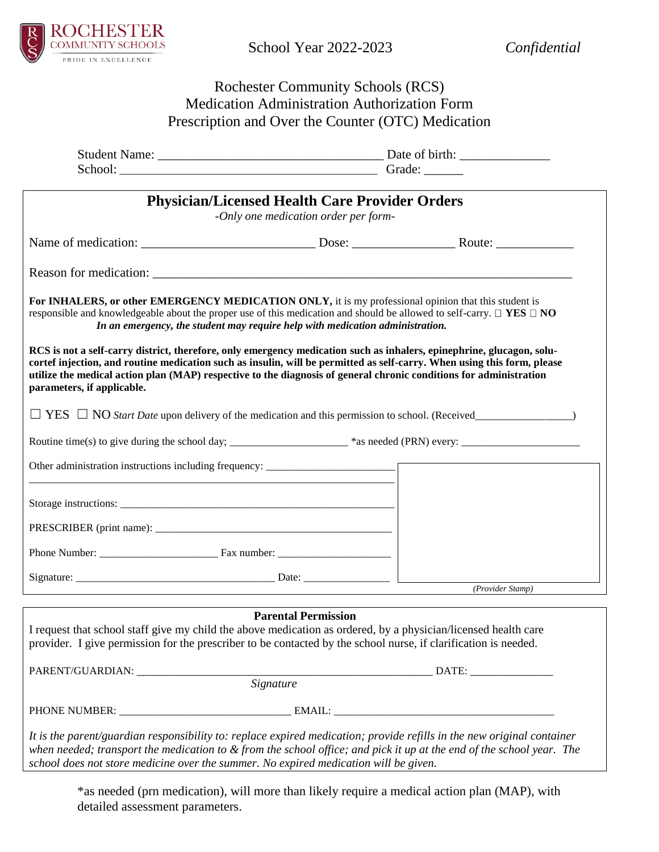

School Year 2022-2023 *Confidential*

## Rochester Community Schools (RCS) Medication Administration Authorization Form Prescription and Over the Counter (OTC) Medication

|                                                                                                                                                                                                                                                                                                                                                                  |                                                                                               | School: Change of Change of Change of Change of Change of Change of Change of Change of Change of Change of Change of Change of Change of Change of Change of Change of Change of Change of Change of Change of Change of Chan |  |
|------------------------------------------------------------------------------------------------------------------------------------------------------------------------------------------------------------------------------------------------------------------------------------------------------------------------------------------------------------------|-----------------------------------------------------------------------------------------------|--------------------------------------------------------------------------------------------------------------------------------------------------------------------------------------------------------------------------------|--|
|                                                                                                                                                                                                                                                                                                                                                                  |                                                                                               |                                                                                                                                                                                                                                |  |
|                                                                                                                                                                                                                                                                                                                                                                  | <b>Physician/Licensed Health Care Provider Orders</b><br>-Only one medication order per form- |                                                                                                                                                                                                                                |  |
|                                                                                                                                                                                                                                                                                                                                                                  |                                                                                               |                                                                                                                                                                                                                                |  |
|                                                                                                                                                                                                                                                                                                                                                                  |                                                                                               |                                                                                                                                                                                                                                |  |
| For INHALERS, or other EMERGENCY MEDICATION ONLY, it is my professional opinion that this student is<br>responsible and knowledgeable about the proper use of this medication and should be allowed to self-carry. $\Box$ YES $\Box$ NO<br>RCS is not a self-carry district, therefore, only emergency medication such as inhalers, epinephrine, glucagon, solu- | In an emergency, the student may require help with medication administration.                 |                                                                                                                                                                                                                                |  |
| cortef injection, and routine medication such as insulin, will be permitted as self-carry. When using this form, please<br>utilize the medical action plan (MAP) respective to the diagnosis of general chronic conditions for administration<br>parameters, if applicable.                                                                                      |                                                                                               |                                                                                                                                                                                                                                |  |
| $\Box$ YES $\Box$ NO <i>Start Date</i> upon delivery of the medication and this permission to school. (Received                                                                                                                                                                                                                                                  |                                                                                               |                                                                                                                                                                                                                                |  |
|                                                                                                                                                                                                                                                                                                                                                                  |                                                                                               |                                                                                                                                                                                                                                |  |
| Other administration instructions including frequency: _________________________                                                                                                                                                                                                                                                                                 |                                                                                               |                                                                                                                                                                                                                                |  |
|                                                                                                                                                                                                                                                                                                                                                                  |                                                                                               |                                                                                                                                                                                                                                |  |
|                                                                                                                                                                                                                                                                                                                                                                  |                                                                                               |                                                                                                                                                                                                                                |  |
|                                                                                                                                                                                                                                                                                                                                                                  |                                                                                               |                                                                                                                                                                                                                                |  |
|                                                                                                                                                                                                                                                                                                                                                                  |                                                                                               |                                                                                                                                                                                                                                |  |
|                                                                                                                                                                                                                                                                                                                                                                  |                                                                                               | (Provider Stamp)                                                                                                                                                                                                               |  |
|                                                                                                                                                                                                                                                                                                                                                                  | <b>Parental Permission</b>                                                                    |                                                                                                                                                                                                                                |  |
| I request that school staff give my child the above medication as ordered, by a physician/licensed health care<br>provider. I give permission for the prescriber to be contacted by the school nurse, if clarification is needed.                                                                                                                                |                                                                                               |                                                                                                                                                                                                                                |  |
|                                                                                                                                                                                                                                                                                                                                                                  |                                                                                               |                                                                                                                                                                                                                                |  |
|                                                                                                                                                                                                                                                                                                                                                                  | Signature                                                                                     |                                                                                                                                                                                                                                |  |
|                                                                                                                                                                                                                                                                                                                                                                  |                                                                                               |                                                                                                                                                                                                                                |  |
| It is the parent/guardian responsibility to: replace expired medication; provide refills in the new original container<br>when needed; transport the medication to & from the school office; and pick it up at the end of the school year. The                                                                                                                   |                                                                                               |                                                                                                                                                                                                                                |  |

*school does not store medicine over the summer. No expired medication will be given.*

\*as needed (prn medication), will more than likely require a medical action plan (MAP), with detailed assessment parameters.